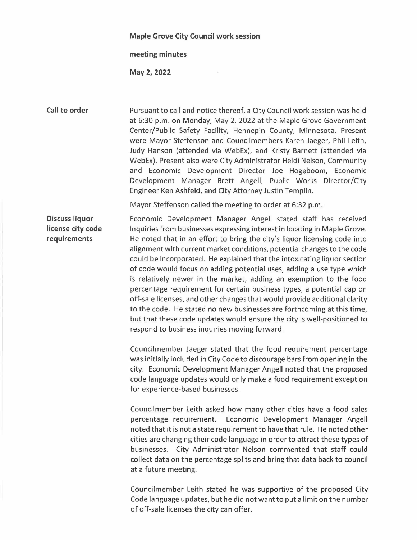## **Maple Grove City Council work session**

## **meeting minutes**

**May 2, 2022** 

## **Call to order**

Pursuant to call and notice thereof, a City Council work session was held at 6:30 p.m. on Monday, May 2, 2022 at the Maple Grove Government Center/Public Safety Facility, Hennepin County, Minnesota. Present were Mayor Steffenson and Councilmembers Karen Jaeger, Phil Leith, Judy Hanson (attended via WebEx), and Kristy Barnett (attended via WebEx). Present also were City Administrator Heidi Nelson, Community and Economic Development Director Joe Hogeboom, Economic Development Manager Brett Angell, Public Works Director/City Engineer Ken Ashfeld, and City Attorney Justin Templin.

Mayor Steffenson called the meeting to order at 6:32 p.m.

**Discuss liquor license city code requirements**  Economic Development Manager Angell stated staff has received inquiries from businesses expressing interest in locating in Maple Grove. He noted that in an effort to bring the city's liquor licensing code into alignment with current market conditions, potential changes to the code could be incorporated. He explained that the intoxicating liquor section of code would focus on adding potential uses, adding a use type which is relatively newer in the market, adding an exemption to the food percentage requirement for certain business types, a potential cap on off-sale licenses, and other changes that would provide additional clarity to the code. He stated no new businesses are forthcoming at this time, but that these code updates would ensure the city is well-positioned to respond to business inquiries moving forward.

> Councilmember Jaeger stated that the food requirement percentage was initially included in City Code to discourage bars from opening in the city. Economic Development Manager Angell noted that the proposed code language updates would only make a food requirement exception for experience-based businesses.

> Councilmember Leith asked how many other cities have a food sales percentage requirement. Economic Development Manager Angell noted that it is not a state requirement to have that rule. He noted other cities are changing their code language in order to attract these types of businesses. City Administrator Nelson commented that staff could collect data on the percentage splits and bring that data back to council at a future meeting.

> Councilmember Leith stated he was supportive of the proposed City Code language updates, but he did not want to put a limit on the number of off-sale licenses the city can offer.